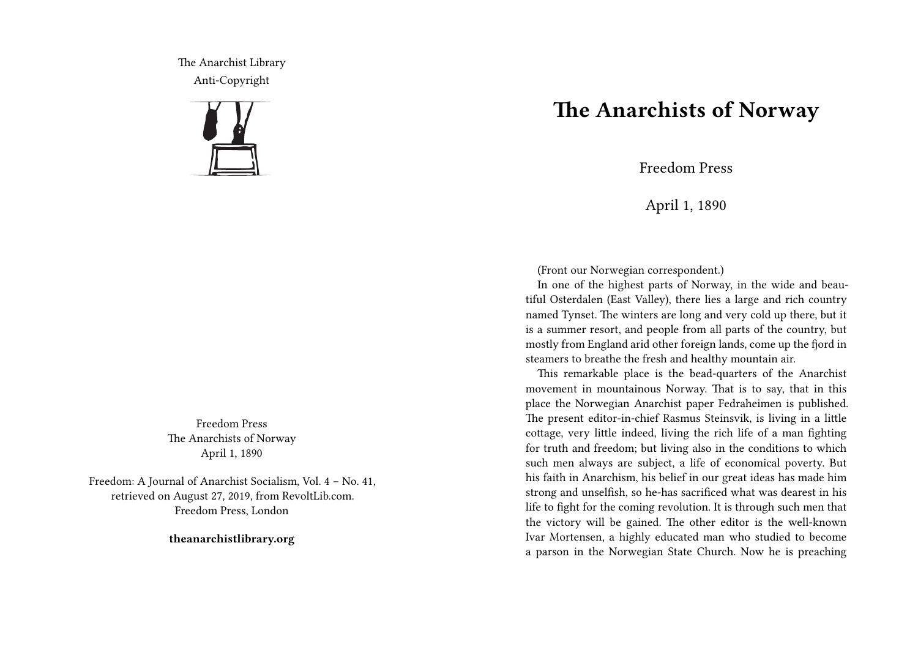The Anarchist Library Anti-Copyright



Freedom Press The Anarchists of Norway April 1, 1890

Freedom: A Journal of Anarchist Socialism, Vol. 4 – No. 41, retrieved on August 27, 2019, from RevoltLib.com. Freedom Press, London

**theanarchistlibrary.org**

## **The Anarchists of Norway**

Freedom Press

April 1, 1890

(Front our Norwegian correspondent.)

In one of the highest parts of Norway, in the wide and beautiful Osterdalen (East Valley), there lies a large and rich country named Tynset. The winters are long and very cold up there, but it is a summer resort, and people from all parts of the country, but mostly from England arid other foreign lands, come up the fjord in steamers to breathe the fresh and healthy mountain air.

This remarkable place is the bead-quarters of the Anarchist movement in mountainous Norway. That is to say, that in this place the Norwegian Anarchist paper Fedraheimen is published. The present editor-in-chief Rasmus Steinsvik, is living in a little cottage, very little indeed, living the rich life of a man fighting for truth and freedom; but living also in the conditions to which such men always are subject, a life of economical poverty. But his faith in Anarchism, his belief in our great ideas has made him strong and unselfish, so he-has sacrificed what was dearest in his life to fight for the coming revolution. It is through such men that the victory will be gained. The other editor is the well-known Ivar Mortensen, a highly educated man who studied to become a parson in the Norwegian State Church. Now he is preaching